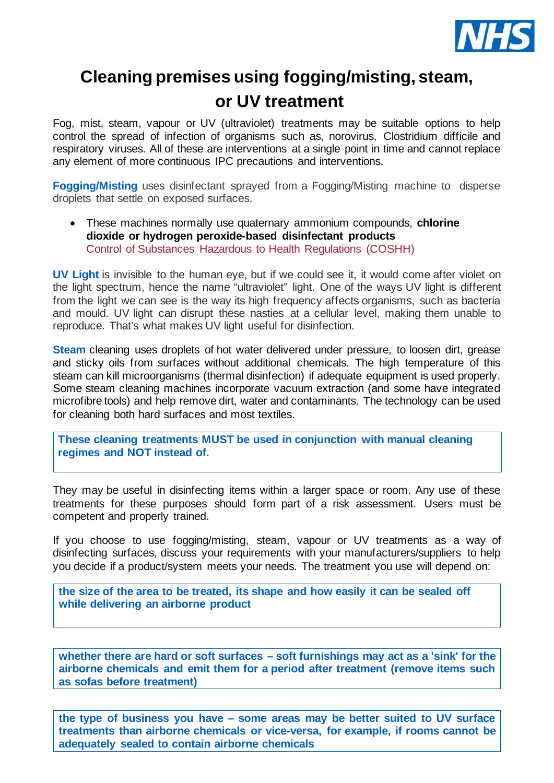

# **Cleaning premises using fogging/misting, steam, or UV treatment**

Fog, mist, steam, vapour or UV (ultraviolet) treatments may be suitable options to help control the spread of infection of organisms such as, norovirus, Clostridium difficile and respiratory viruses. All of these are interventions at a single point in time and cannot replace any element of more continuous IPC precautions and interventions.

**Fogging/Misting** uses disinfectant sprayed from a Fogging/Misting machine to disperse droplets that settle on exposed surfaces.

• These machines normally use quaternary ammonium compounds, **chlorine dioxide or hydrogen peroxide-based disinfectant products** [Control of Substances Hazardous to Health Regulations \(COSHH\)](https://www.hse.gov.uk/coshh/index.htm)

**UV Light** is invisible to the human eye, but if we could see it, it would come after violet on the light spectrum, hence the name "ultraviolet" light. One of the ways UV light is different from the light we can see is the way its high frequency affects organisms, such as bacteria and mould. UV light can disrupt these nasties at a cellular level, making them unable to reproduce. That's what makes UV light useful for disinfection.

**Steam** cleaning uses droplets of hot water delivered under pressure, to loosen dirt, grease and sticky oils from surfaces without additional chemicals. The high temperature of this steam can kill microorganisms (thermal disinfection) if adequate equipment is used properly. Some steam cleaning machines incorporate vacuum extraction (and some have integrated microfibre tools) and help remove dirt, water and contaminants. The technology can be used for cleaning both hard surfaces and most textiles.

**These cleaning treatments MUST be used in conjunction with manual cleaning regimes and NOT instead of.**

They may be useful in disinfecting items within a larger space or room. Any use of these treatments for these purposes should form part of a risk assessment. Users must be competent and properly trained.

If you choose to use fogging/misting, steam, vapour or UV treatments as a way of disinfecting surfaces, discuss your requirements with your manufacturers/suppliers to help you decide if a product/system meets your needs. The treatment you use will depend on:

**the size of the area to be treated, its shape and how easily it can be sealed off while delivering an airborne product**

**whether there are hard or soft surfaces – soft furnishings may act as a 'sink' for the airborne chemicals and emit them for a period after treatment (remove items such as sofas before treatment)**

**the type of business you have – some areas may be better suited to UV surface treatments than airborne chemicals or vice-versa, for example, if rooms cannot be adequately sealed to contain airborne chemicals**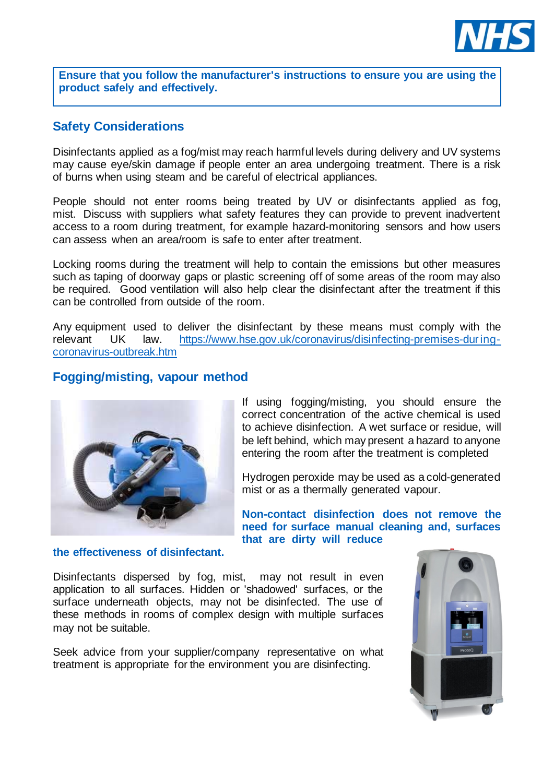

**Ensure that you follow the manufacturer's instructions to ensure you are using the product safely and effectively.**

#### **Safety Considerations**

Disinfectants applied as a fog/mist may reach harmful levels during delivery and UV systems may cause eye/skin damage if people enter an area undergoing treatment. There is a risk of burns when using steam and be careful of electrical appliances.

People should not enter rooms being treated by UV or disinfectants applied as fog, mist. Discuss with suppliers what safety features they can provide to prevent inadvertent access to a room during treatment, for example hazard-monitoring sensors and how users can assess when an area/room is safe to enter after treatment.

Locking rooms during the treatment will help to contain the emissions but other measures such as taping of doorway gaps or plastic screening off of some areas of the room may also be required. Good ventilation will also help clear the disinfectant after the treatment if this can be controlled from outside of the room.

Any equipment used to deliver the disinfectant by these means must comply with the relevant UK law. [https://www.hse.gov.uk/coronavirus/disinfecting-premises-during](https://www.hse.gov.uk/coronavirus/disinfecting-premises-during-coronavirus-outbreak.htm)[coronavirus-outbreak.htm](https://www.hse.gov.uk/coronavirus/disinfecting-premises-during-coronavirus-outbreak.htm)

### **Fogging/misting, vapour method**



If using fogging/misting, you should ensure the correct concentration of the active chemical is used to achieve disinfection. A wet surface or residue, will be left behind, which may present a hazard to anyone entering the room after the treatment is completed

Hydrogen peroxide may be used as a cold-generated mist or as a thermally generated vapour.

**Non-contact disinfection does not remove the need for surface manual cleaning and, surfaces that are dirty will reduce** 

**the effectiveness of disinfectant.**

Disinfectants dispersed by fog, mist, may not result in even application to all surfaces. Hidden or 'shadowed' surfaces, or the surface underneath objects, may not be disinfected. The use of these methods in rooms of complex design with multiple surfaces may not be suitable.

Seek advice from your supplier/company representative on what treatment is appropriate for the environment you are disinfecting.

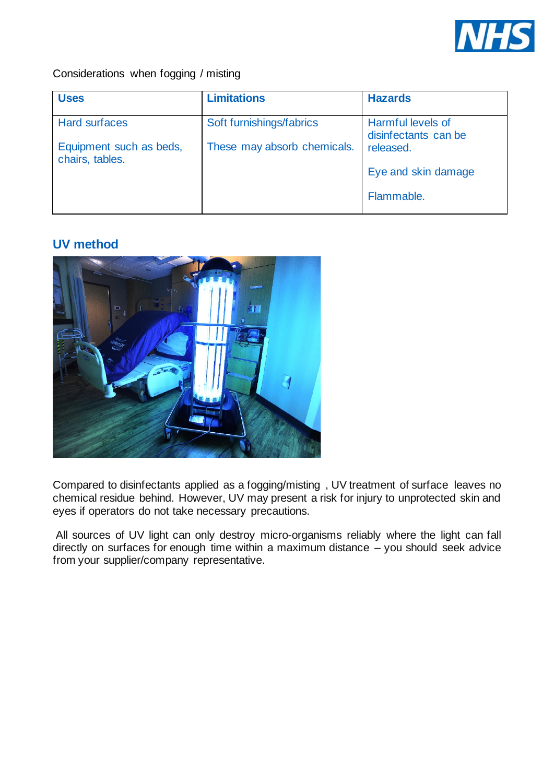

#### Considerations when fogging / misting

| <b>Uses</b>                                | <b>Limitations</b>          | <b>Hazards</b>                            |
|--------------------------------------------|-----------------------------|-------------------------------------------|
| <b>Hard surfaces</b>                       | Soft furnishings/fabrics    | Harmful levels of<br>disinfectants can be |
| Equipment such as beds,<br>chairs, tables. | These may absorb chemicals. | released.                                 |
|                                            |                             | Eye and skin damage                       |
|                                            |                             | Flammable.                                |

# **UV method**



Compared to disinfectants applied as a fogging/misting , UV treatment of surface leaves no chemical residue behind. However, UV may present a risk for injury to unprotected skin and eyes if operators do not take necessary precautions.

All sources of UV light can only destroy micro-organisms reliably where the light can fall directly on surfaces for enough time within a maximum distance – you should seek advice from your supplier/company representative.